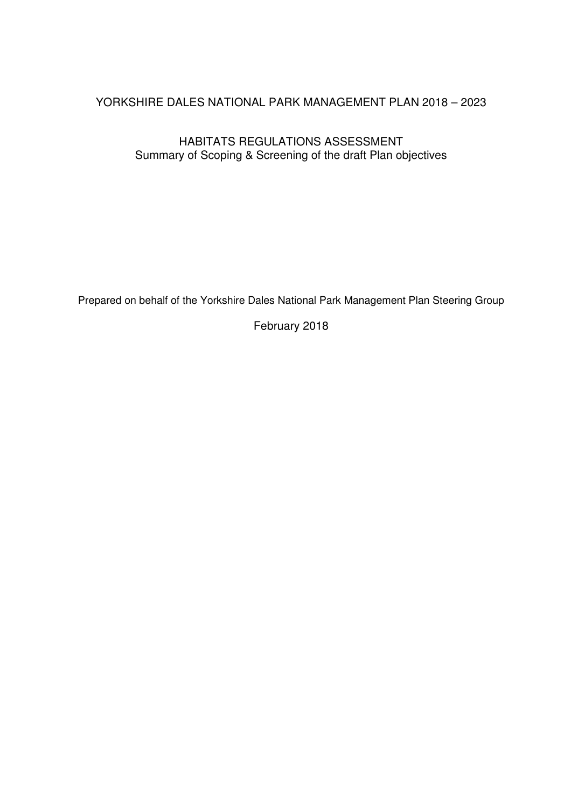# YORKSHIRE DALES NATIONAL PARK MANAGEMENT PLAN 2018 – 2023

# HABITATS REGULATIONS ASSESSMENT Summary of Scoping & Screening of the draft Plan objectives

Prepared on behalf of the Yorkshire Dales National Park Management Plan Steering Group

February 2018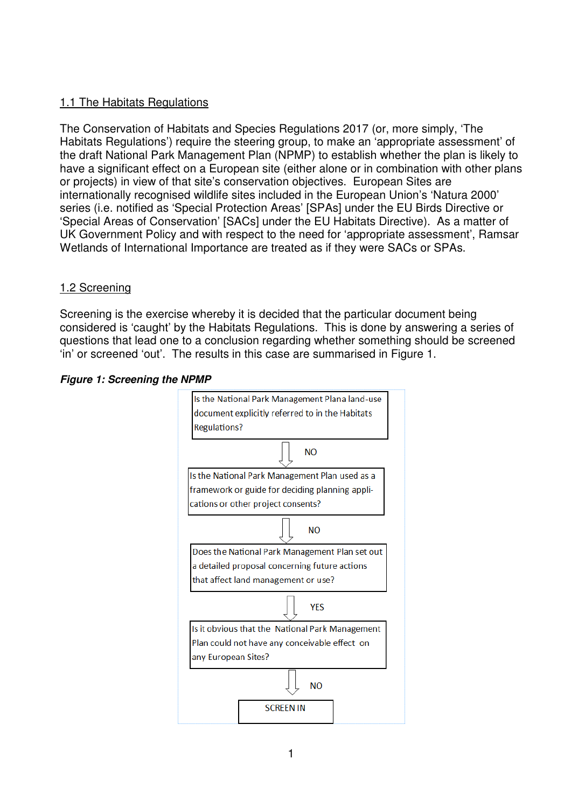# 1.1 The Habitats Regulations

The Conservation of Habitats and Species Regulations 2017 (or, more simply, 'The Habitats Regulations') require the steering group, to make an 'appropriate assessment' of the draft National Park Management Plan (NPMP) to establish whether the plan is likely to have a significant effect on a European site (either alone or in combination with other plans or projects) in view of that site's conservation objectives. European Sites are internationally recognised wildlife sites included in the European Union's 'Natura 2000' series (i.e. notified as 'Special Protection Areas' [SPAs] under the EU Birds Directive or 'Special Areas of Conservation' [SACs] under the EU Habitats Directive). As a matter of UK Government Policy and with respect to the need for 'appropriate assessment', Ramsar Wetlands of International Importance are treated as if they were SACs or SPAs.

# 1.2 Screening

Screening is the exercise whereby it is decided that the particular document being considered is 'caught' by the Habitats Regulations. This is done by answering a series of questions that lead one to a conclusion regarding whether something should be screened 'in' or screened 'out'. The results in this case are summarised in Figure 1.

#### *Figure 1: Screening the NPMP*

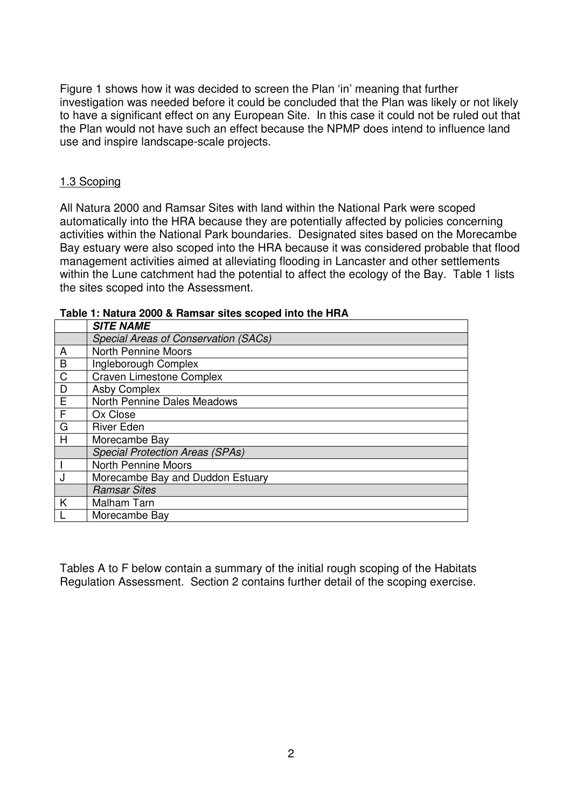Figure 1 shows how it was decided to screen the Plan 'in' meaning that further investigation was needed before it could be concluded that the Plan was likely or not likely to have a significant effect on any European Site. In this case it could not be ruled out that the Plan would not have such an effect because the NPMP does intend to influence land use and inspire landscape-scale projects.

#### 1.3 Scoping

All Natura 2000 and Ramsar Sites with land within the National Park were scoped automatically into the HRA because they are potentially affected by policies concerning activities within the National Park boundaries. Designated sites based on the Morecambe Bay estuary were also scoped into the HRA because it was considered probable that flood management activities aimed at alleviating flooding in Lancaster and other settlements within the Lune catchment had the potential to affect the ecology of the Bay. Table 1 lists the sites scoped into the Assessment.

|                | <b>SITE NAME</b>                            |
|----------------|---------------------------------------------|
|                | <b>Special Areas of Conservation (SACs)</b> |
| A              | <b>North Pennine Moors</b>                  |
| B              | Ingleborough Complex                        |
| $\mathsf{C}$   | <b>Craven Limestone Complex</b>             |
| D              | <b>Asby Complex</b>                         |
| $\overline{E}$ | North Pennine Dales Meadows                 |
| F              | Ox Close                                    |
| G              | <b>River Eden</b>                           |
| H              | Morecambe Bay                               |
|                | <b>Special Protection Areas (SPAs)</b>      |
|                | <b>North Pennine Moors</b>                  |
|                | Morecambe Bay and Duddon Estuary            |
|                | <b>Ramsar Sites</b>                         |
| K              | Malham Tarn                                 |
|                | Morecambe Bay                               |

**Table 1: Natura 2000 & Ramsar sites scoped into the HRA** 

Tables A to F below contain a summary of the initial rough scoping of the Habitats Regulation Assessment. Section 2 contains further detail of the scoping exercise.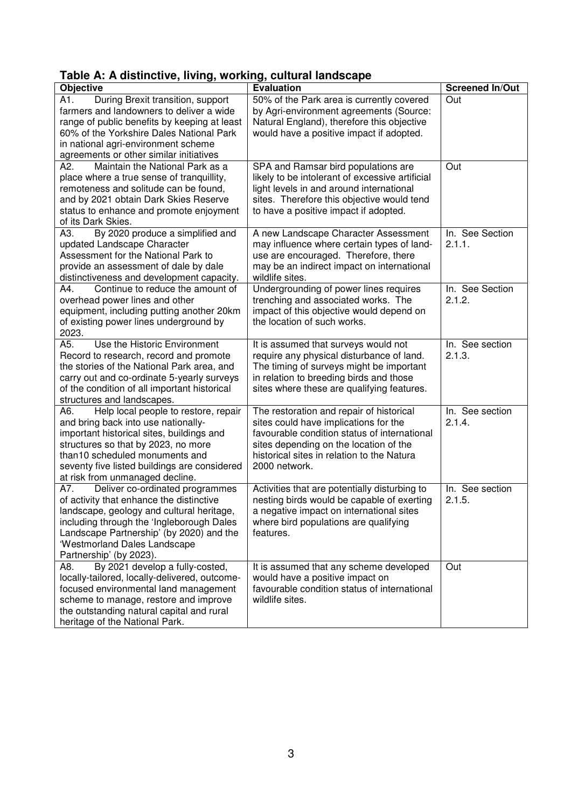|  | Table A: A distinctive, living, working, cultural landscape |  |  |
|--|-------------------------------------------------------------|--|--|
|  |                                                             |  |  |

| ravic A. A distinctive, nving, working, cuiturar landscape |                                                 |                        |
|------------------------------------------------------------|-------------------------------------------------|------------------------|
| Objective                                                  | <b>Evaluation</b>                               | <b>Screened In/Out</b> |
| During Brexit transition, support<br>A1.                   | 50% of the Park area is currently covered       | Out                    |
| farmers and landowners to deliver a wide                   | by Agri-environment agreements (Source:         |                        |
| range of public benefits by keeping at least               | Natural England), therefore this objective      |                        |
| 60% of the Yorkshire Dales National Park                   | would have a positive impact if adopted.        |                        |
| in national agri-environment scheme                        |                                                 |                        |
| agreements or other similar initiatives                    |                                                 |                        |
| Maintain the National Park as a<br>A2.                     | SPA and Ramsar bird populations are             | Out                    |
| place where a true sense of tranquillity,                  | likely to be intolerant of excessive artificial |                        |
| remoteness and solitude can be found,                      | light levels in and around international        |                        |
| and by 2021 obtain Dark Skies Reserve                      | sites. Therefore this objective would tend      |                        |
| status to enhance and promote enjoyment                    | to have a positive impact if adopted.           |                        |
| of its Dark Skies.                                         |                                                 |                        |
| A3.<br>By 2020 produce a simplified and                    | A new Landscape Character Assessment            | In. See Section        |
| updated Landscape Character                                | may influence where certain types of land-      | 2.1.1.                 |
| Assessment for the National Park to                        | use are encouraged. Therefore, there            |                        |
| provide an assessment of dale by dale                      | may be an indirect impact on international      |                        |
| distinctiveness and development capacity.                  | wildlife sites.                                 |                        |
| Continue to reduce the amount of<br>A4.                    | Undergrounding of power lines requires          | In. See Section        |
| overhead power lines and other                             | trenching and associated works. The             | 2.1.2.                 |
| equipment, including putting another 20km                  | impact of this objective would depend on        |                        |
| of existing power lines underground by                     | the location of such works.                     |                        |
| 2023.                                                      |                                                 |                        |
| Use the Historic Environment<br>A5.                        | It is assumed that surveys would not            | In. See section        |
| Record to research, record and promote                     | require any physical disturbance of land.       | 2.1.3.                 |
| the stories of the National Park area, and                 | The timing of surveys might be important        |                        |
|                                                            |                                                 |                        |
| carry out and co-ordinate 5-yearly surveys                 | in relation to breeding birds and those         |                        |
| of the condition of all important historical               | sites where these are qualifying features.      |                        |
| structures and landscapes.                                 |                                                 | In. See section        |
| Help local people to restore, repair<br>A6.                | The restoration and repair of historical        |                        |
| and bring back into use nationally-                        | sites could have implications for the           | 2.1.4.                 |
| important historical sites, buildings and                  | favourable condition status of international    |                        |
| structures so that by 2023, no more                        | sites depending on the location of the          |                        |
| than10 scheduled monuments and                             | historical sites in relation to the Natura      |                        |
| seventy five listed buildings are considered               | 2000 network.                                   |                        |
| at risk from unmanaged decline.                            |                                                 |                        |
| Deliver co-ordinated programmes<br>A7.                     | Activities that are potentially disturbing to   | In. See section        |
| of activity that enhance the distinctive                   | nesting birds would be capable of exerting      | 2.1.5.                 |
| landscape, geology and cultural heritage,                  | a negative impact on international sites        |                        |
| including through the 'Ingleborough Dales                  | where bird populations are qualifying           |                        |
| Landscape Partnership' (by 2020) and the                   | features.                                       |                        |
| 'Westmorland Dales Landscape                               |                                                 |                        |
| Partnership' (by 2023).                                    |                                                 |                        |
| By 2021 develop a fully-costed,<br>A8.                     | It is assumed that any scheme developed         | Out                    |
| locally-tailored, locally-delivered, outcome-              | would have a positive impact on                 |                        |
| focused environmental land management                      | favourable condition status of international    |                        |
| scheme to manage, restore and improve                      | wildlife sites.                                 |                        |
| the outstanding natural capital and rural                  |                                                 |                        |
| heritage of the National Park.                             |                                                 |                        |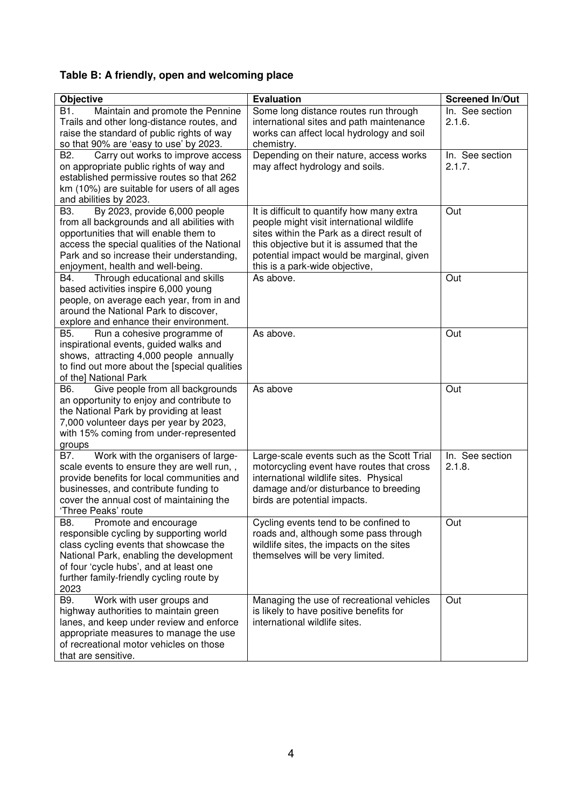# **Table B: A friendly, open and welcoming place**

| <b>Objective</b>                                                                          | <b>Evaluation</b>                                                                        | <b>Screened In/Out</b> |
|-------------------------------------------------------------------------------------------|------------------------------------------------------------------------------------------|------------------------|
| B1.<br>Maintain and promote the Pennine                                                   | Some long distance routes run through                                                    | In. See section        |
| Trails and other long-distance routes, and                                                | international sites and path maintenance                                                 | 2.1.6.                 |
| raise the standard of public rights of way                                                | works can affect local hydrology and soil                                                |                        |
| so that 90% are 'easy to use' by 2023.                                                    | chemistry.                                                                               |                        |
| B <sub>2</sub> .<br>Carry out works to improve access                                     | Depending on their nature, access works                                                  | In. See section        |
| on appropriate public rights of way and                                                   | may affect hydrology and soils.                                                          | 2.1.7.                 |
| established permissive routes so that 262                                                 |                                                                                          |                        |
| km (10%) are suitable for users of all ages                                               |                                                                                          |                        |
| and abilities by 2023.                                                                    |                                                                                          |                        |
| By 2023, provide 6,000 people<br>B3.                                                      | It is difficult to quantify how many extra                                               | Out                    |
| from all backgrounds and all abilities with                                               | people might visit international wildlife<br>sites within the Park as a direct result of |                        |
| opportunities that will enable them to                                                    | this objective but it is assumed that the                                                |                        |
| access the special qualities of the National<br>Park and so increase their understanding, | potential impact would be marginal, given                                                |                        |
| enjoyment, health and well-being.                                                         | this is a park-wide objective,                                                           |                        |
| Through educational and skills<br>B4.                                                     | As above.                                                                                | Out                    |
| based activities inspire 6,000 young                                                      |                                                                                          |                        |
| people, on average each year, from in and                                                 |                                                                                          |                        |
| around the National Park to discover,                                                     |                                                                                          |                        |
| explore and enhance their environment.                                                    |                                                                                          |                        |
| B5.<br>Run a cohesive programme of                                                        | As above.                                                                                | Out                    |
| inspirational events, guided walks and                                                    |                                                                                          |                        |
| shows, attracting 4,000 people annually                                                   |                                                                                          |                        |
| to find out more about the [special qualities                                             |                                                                                          |                        |
| of the] National Park                                                                     |                                                                                          |                        |
| Give people from all backgrounds<br>B6.                                                   | As above                                                                                 | Out                    |
| an opportunity to enjoy and contribute to                                                 |                                                                                          |                        |
| the National Park by providing at least                                                   |                                                                                          |                        |
| 7,000 volunteer days per year by 2023,                                                    |                                                                                          |                        |
| with 15% coming from under-represented                                                    |                                                                                          |                        |
| groups<br>B7.<br>Work with the organisers of large-                                       | Large-scale events such as the Scott Trial                                               | In. See section        |
| scale events to ensure they are well run,,                                                | motorcycling event have routes that cross                                                | 2.1.8.                 |
| provide benefits for local communities and                                                | international wildlife sites. Physical                                                   |                        |
| businesses, and contribute funding to                                                     | damage and/or disturbance to breeding                                                    |                        |
| cover the annual cost of maintaining the                                                  | birds are potential impacts.                                                             |                        |
| 'Three Peaks' route                                                                       |                                                                                          |                        |
| B8.<br>Promote and encourage                                                              | Cycling events tend to be confined to                                                    | Out                    |
| responsible cycling by supporting world                                                   | roads and, although some pass through                                                    |                        |
| class cycling events that showcase the                                                    | wildlife sites, the impacts on the sites                                                 |                        |
| National Park, enabling the development                                                   | themselves will be very limited.                                                         |                        |
| of four 'cycle hubs', and at least one                                                    |                                                                                          |                        |
| further family-friendly cycling route by                                                  |                                                                                          |                        |
| 2023                                                                                      |                                                                                          |                        |
| B9.<br>Work with user groups and                                                          | Managing the use of recreational vehicles                                                | Out                    |
| highway authorities to maintain green                                                     | is likely to have positive benefits for                                                  |                        |
| lanes, and keep under review and enforce                                                  | international wildlife sites.                                                            |                        |
| appropriate measures to manage the use<br>of recreational motor vehicles on those         |                                                                                          |                        |
| that are sensitive.                                                                       |                                                                                          |                        |
|                                                                                           |                                                                                          |                        |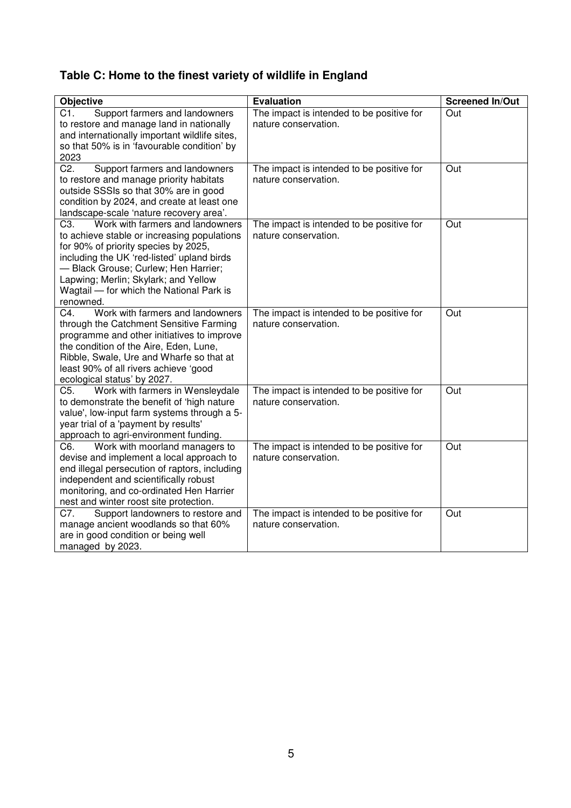# **Table C: Home to the finest variety of wildlife in England**

| <b>Objective</b>                                                                                                                                                                                                                                                                                                                   | <b>Evaluation</b>                                                 | <b>Screened In/Out</b> |
|------------------------------------------------------------------------------------------------------------------------------------------------------------------------------------------------------------------------------------------------------------------------------------------------------------------------------------|-------------------------------------------------------------------|------------------------|
| Support farmers and landowners<br>C1.<br>to restore and manage land in nationally<br>and internationally important wildlife sites,<br>so that 50% is in 'favourable condition' by<br>2023                                                                                                                                          | The impact is intended to be positive for<br>nature conservation. | Out                    |
| C <sub>2</sub> .<br>Support farmers and landowners<br>to restore and manage priority habitats<br>outside SSSIs so that 30% are in good<br>condition by 2024, and create at least one<br>landscape-scale 'nature recovery area'.                                                                                                    | The impact is intended to be positive for<br>nature conservation. | Out                    |
| Work with farmers and landowners<br>C <sub>3</sub> .<br>to achieve stable or increasing populations<br>for 90% of priority species by 2025,<br>including the UK 'red-listed' upland birds<br>- Black Grouse; Curlew; Hen Harrier;<br>Lapwing; Merlin; Skylark; and Yellow<br>Wagtail — for which the National Park is<br>renowned. | The impact is intended to be positive for<br>nature conservation. | Out                    |
| Work with farmers and landowners<br>C4.<br>through the Catchment Sensitive Farming<br>programme and other initiatives to improve<br>the condition of the Aire, Eden, Lune,<br>Ribble, Swale, Ure and Wharfe so that at<br>least 90% of all rivers achieve 'good<br>ecological status' by 2027.                                     | The impact is intended to be positive for<br>nature conservation. | Out                    |
| Work with farmers in Wensleydale<br>C5.<br>to demonstrate the benefit of 'high nature<br>value', low-input farm systems through a 5-<br>year trial of a 'payment by results'<br>approach to agri-environment funding.                                                                                                              | The impact is intended to be positive for<br>nature conservation. | Out                    |
| Work with moorland managers to<br>C6.<br>devise and implement a local approach to<br>end illegal persecution of raptors, including<br>independent and scientifically robust<br>monitoring, and co-ordinated Hen Harrier<br>nest and winter roost site protection.                                                                  | The impact is intended to be positive for<br>nature conservation. | Out                    |
| C7.<br>Support landowners to restore and<br>manage ancient woodlands so that 60%<br>are in good condition or being well<br>managed by 2023.                                                                                                                                                                                        | The impact is intended to be positive for<br>nature conservation. | Out                    |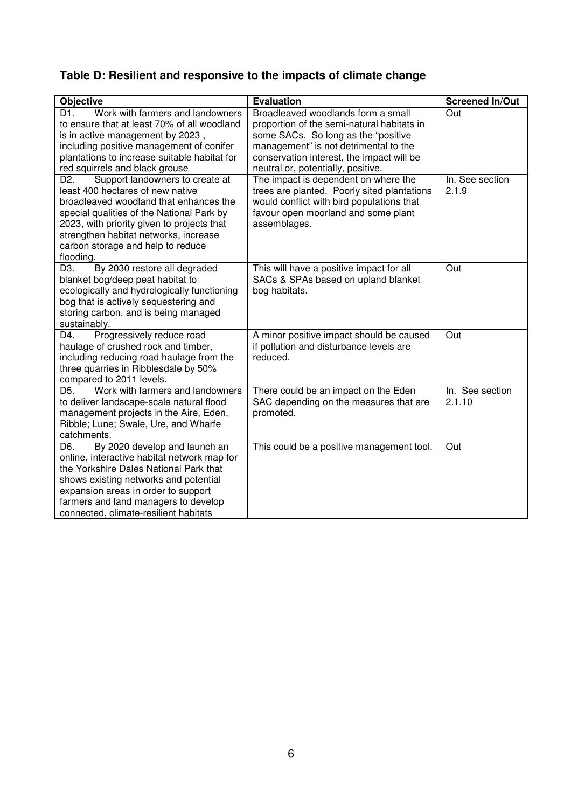# **Table D: Resilient and responsive to the impacts of climate change**

| <b>Objective</b>                                              | <b>Evaluation</b>                           | <b>Screened In/Out</b> |
|---------------------------------------------------------------|---------------------------------------------|------------------------|
| Work with farmers and landowners<br>D1.                       | Broadleaved woodlands form a small          | Out                    |
| to ensure that at least 70% of all woodland                   | proportion of the semi-natural habitats in  |                        |
| is in active management by 2023,                              | some SACs. So long as the "positive"        |                        |
| including positive management of conifer                      | management" is not detrimental to the       |                        |
| plantations to increase suitable habitat for                  | conservation interest, the impact will be   |                        |
| red squirrels and black grouse                                | neutral or, potentially, positive.          |                        |
| Support landowners to create at<br>D2.                        | The impact is dependent on where the        | In. See section        |
| least 400 hectares of new native                              | trees are planted. Poorly sited plantations | 2.1.9                  |
| broadleaved woodland that enhances the                        | would conflict with bird populations that   |                        |
| special qualities of the National Park by                     | favour open moorland and some plant         |                        |
| 2023, with priority given to projects that                    | assemblages.                                |                        |
| strengthen habitat networks, increase                         |                                             |                        |
| carbon storage and help to reduce                             |                                             |                        |
| flooding.<br>By 2030 restore all degraded<br>D <sub>3</sub> . | This will have a positive impact for all    | Out                    |
| blanket bog/deep peat habitat to                              | SACs & SPAs based on upland blanket         |                        |
| ecologically and hydrologically functioning                   | bog habitats.                               |                        |
| bog that is actively sequestering and                         |                                             |                        |
| storing carbon, and is being managed                          |                                             |                        |
| sustainably.                                                  |                                             |                        |
| Progressively reduce road<br>D4.                              | A minor positive impact should be caused    | Out                    |
| haulage of crushed rock and timber,                           | if pollution and disturbance levels are     |                        |
| including reducing road haulage from the                      | reduced.                                    |                        |
| three quarries in Ribblesdale by 50%                          |                                             |                        |
| compared to 2011 levels.                                      |                                             |                        |
| Work with farmers and landowners<br>D <sub>5</sub> .          | There could be an impact on the Eden        | In. See section        |
| to deliver landscape-scale natural flood                      | SAC depending on the measures that are      | 2.1.10                 |
| management projects in the Aire, Eden,                        | promoted.                                   |                        |
| Ribble; Lune; Swale, Ure, and Wharfe                          |                                             |                        |
| catchments.                                                   |                                             |                        |
| D6.<br>By 2020 develop and launch an                          | This could be a positive management tool.   | Out                    |
| online, interactive habitat network map for                   |                                             |                        |
| the Yorkshire Dales National Park that                        |                                             |                        |
| shows existing networks and potential                         |                                             |                        |
| expansion areas in order to support                           |                                             |                        |
| farmers and land managers to develop                          |                                             |                        |
| connected, climate-resilient habitats                         |                                             |                        |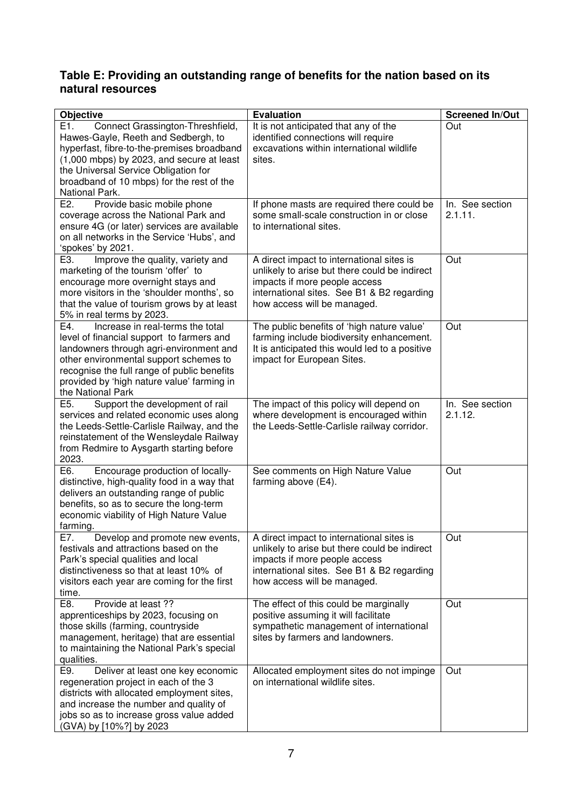## **Table E: Providing an outstanding range of benefits for the nation based on its natural resources**

| Objective                                                                                                                                                                                                                                                                                   | <b>Evaluation</b>                                                                                                                                                                                        | <b>Screened In/Out</b>     |
|---------------------------------------------------------------------------------------------------------------------------------------------------------------------------------------------------------------------------------------------------------------------------------------------|----------------------------------------------------------------------------------------------------------------------------------------------------------------------------------------------------------|----------------------------|
| E1.<br>Connect Grassington-Threshfield,<br>Hawes-Gayle, Reeth and Sedbergh, to<br>hyperfast, fibre-to-the-premises broadband<br>(1,000 mbps) by 2023, and secure at least<br>the Universal Service Obligation for<br>broadband of 10 mbps) for the rest of the<br>National Park.            | It is not anticipated that any of the<br>identified connections will require<br>excavations within international wildlife<br>sites.                                                                      | Out                        |
| E2.<br>Provide basic mobile phone<br>coverage across the National Park and<br>ensure 4G (or later) services are available<br>on all networks in the Service 'Hubs', and<br>'spokes' by 2021.                                                                                                | If phone masts are required there could be<br>some small-scale construction in or close<br>to international sites.                                                                                       | In. See section<br>2.1.11. |
| E3.<br>Improve the quality, variety and<br>marketing of the tourism 'offer' to<br>encourage more overnight stays and<br>more visitors in the 'shoulder months', so<br>that the value of tourism grows by at least<br>5% in real terms by 2023.                                              | A direct impact to international sites is<br>unlikely to arise but there could be indirect<br>impacts if more people access<br>international sites. See B1 & B2 regarding<br>how access will be managed. | Out                        |
| Increase in real-terms the total<br>E4.<br>level of financial support to farmers and<br>landowners through agri-environment and<br>other environmental support schemes to<br>recognise the full range of public benefits<br>provided by 'high nature value' farming in<br>the National Park | The public benefits of 'high nature value'<br>farming include biodiversity enhancement.<br>It is anticipated this would led to a positive<br>impact for European Sites.                                  | Out                        |
| E5.<br>Support the development of rail<br>services and related economic uses along<br>the Leeds-Settle-Carlisle Railway, and the<br>reinstatement of the Wensleydale Railway<br>from Redmire to Aysgarth starting before<br>2023.                                                           | The impact of this policy will depend on<br>where development is encouraged within<br>the Leeds-Settle-Carlisle railway corridor.                                                                        | In. See section<br>2.1.12. |
| Encourage production of locally-<br>E6.<br>distinctive, high-quality food in a way that<br>delivers an outstanding range of public<br>benefits, so as to secure the long-term<br>economic viability of High Nature Value<br>farming.                                                        | See comments on High Nature Value<br>farming above (E4).                                                                                                                                                 | Out                        |
| E7.<br>Develop and promote new events,<br>festivals and attractions based on the<br>Park's special qualities and local<br>distinctiveness so that at least 10% of<br>visitors each year are coming for the first<br>time.                                                                   | A direct impact to international sites is<br>unlikely to arise but there could be indirect<br>impacts if more people access<br>international sites. See B1 & B2 regarding<br>how access will be managed. | Out                        |
| Provide at least ??<br>E8.<br>apprenticeships by 2023, focusing on<br>those skills (farming, countryside<br>management, heritage) that are essential<br>to maintaining the National Park's special<br>qualities.                                                                            | The effect of this could be marginally<br>positive assuming it will facilitate<br>sympathetic management of international<br>sites by farmers and landowners.                                            | Out                        |
| Deliver at least one key economic<br>E9.<br>regeneration project in each of the 3<br>districts with allocated employment sites,<br>and increase the number and quality of<br>jobs so as to increase gross value added<br>(GVA) by [10%?] by 2023                                            | Allocated employment sites do not impinge<br>on international wildlife sites.                                                                                                                            | Out                        |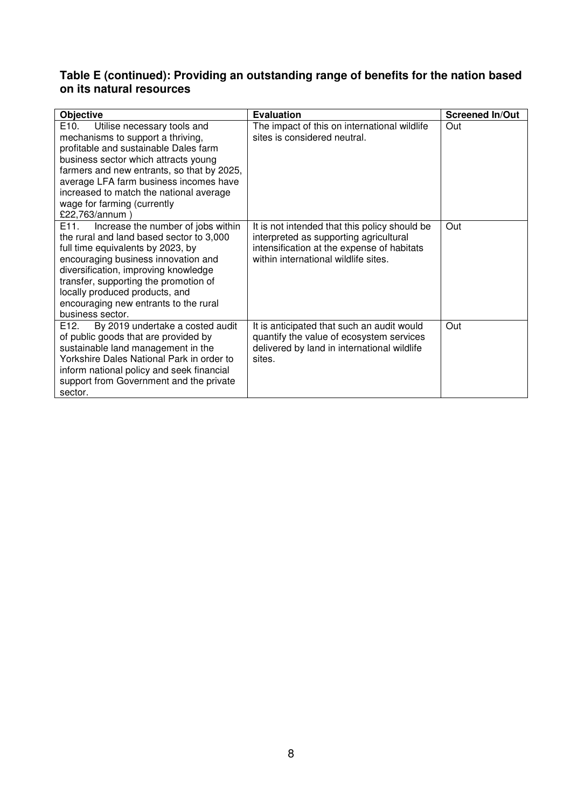## **Table E (continued): Providing an outstanding range of benefits for the nation based on its natural resources**

| <b>Objective</b>                                                                                                                                                                                                                                                                                                                                                | <b>Evaluation</b>                                                                                                                                                             | <b>Screened In/Out</b> |
|-----------------------------------------------------------------------------------------------------------------------------------------------------------------------------------------------------------------------------------------------------------------------------------------------------------------------------------------------------------------|-------------------------------------------------------------------------------------------------------------------------------------------------------------------------------|------------------------|
| Utilise necessary tools and<br>E <sub>10</sub> .<br>mechanisms to support a thriving,<br>profitable and sustainable Dales farm<br>business sector which attracts young<br>farmers and new entrants, so that by 2025,<br>average LFA farm business incomes have<br>increased to match the national average<br>wage for farming (currently<br>£22,763/annum)      | The impact of this on international wildlife<br>sites is considered neutral.                                                                                                  | Out                    |
| Increase the number of jobs within<br>E <sub>11</sub> .<br>the rural and land based sector to 3,000<br>full time equivalents by 2023, by<br>encouraging business innovation and<br>diversification, improving knowledge<br>transfer, supporting the promotion of<br>locally produced products, and<br>encouraging new entrants to the rural<br>business sector. | It is not intended that this policy should be<br>interpreted as supporting agricultural<br>intensification at the expense of habitats<br>within international wildlife sites. | Out                    |
| E <sub>12</sub> .<br>By 2019 undertake a costed audit<br>of public goods that are provided by<br>sustainable land management in the<br>Yorkshire Dales National Park in order to<br>inform national policy and seek financial<br>support from Government and the private<br>sector.                                                                             | It is anticipated that such an audit would<br>quantify the value of ecosystem services<br>delivered by land in international wildlife<br>sites.                               | Out                    |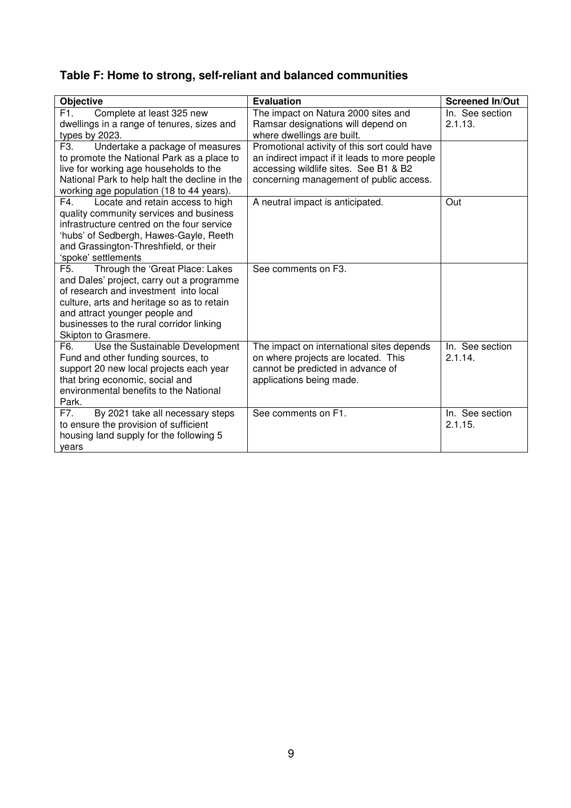# **Table F: Home to strong, self-reliant and balanced communities**

| <b>Objective</b>                                                                     | <b>Evaluation</b>                                                                      | <b>Screened In/Out</b>     |
|--------------------------------------------------------------------------------------|----------------------------------------------------------------------------------------|----------------------------|
| F1.<br>Complete at least 325 new<br>dwellings in a range of tenures, sizes and       | The impact on Natura 2000 sites and<br>Ramsar designations will depend on              | In. See section<br>2.1.13. |
| types by 2023.                                                                       | where dwellings are built.                                                             |                            |
| F <sub>3</sub> .<br>Undertake a package of measures                                  | Promotional activity of this sort could have                                           |                            |
| to promote the National Park as a place to<br>live for working age households to the | an indirect impact if it leads to more people<br>accessing wildlife sites. See B1 & B2 |                            |
| National Park to help halt the decline in the                                        | concerning management of public access.                                                |                            |
| working age population (18 to 44 years).                                             |                                                                                        |                            |
| F4.<br>Locate and retain access to high<br>quality community services and business   | A neutral impact is anticipated.                                                       | Out                        |
| infrastructure centred on the four service                                           |                                                                                        |                            |
| 'hubs' of Sedbergh, Hawes-Gayle, Reeth                                               |                                                                                        |                            |
| and Grassington-Threshfield, or their                                                |                                                                                        |                            |
| 'spoke' settlements                                                                  |                                                                                        |                            |
| F <sub>5</sub> .<br>Through the 'Great Place: Lakes                                  | See comments on F3.                                                                    |                            |
| and Dales' project, carry out a programme<br>of research and investment into local   |                                                                                        |                            |
| culture, arts and heritage so as to retain                                           |                                                                                        |                            |
| and attract younger people and                                                       |                                                                                        |                            |
| businesses to the rural corridor linking                                             |                                                                                        |                            |
| Skipton to Grasmere.                                                                 |                                                                                        |                            |
| Use the Sustainable Development<br>F6.                                               | The impact on international sites depends                                              | In. See section            |
| Fund and other funding sources, to                                                   | on where projects are located. This                                                    | 2.1.14.                    |
| support 20 new local projects each year                                              | cannot be predicted in advance of                                                      |                            |
| that bring economic, social and<br>environmental benefits to the National            | applications being made.                                                               |                            |
| Park.                                                                                |                                                                                        |                            |
| By 2021 take all necessary steps<br>F7.                                              | See comments on F1.                                                                    | In. See section            |
| to ensure the provision of sufficient                                                |                                                                                        | 2.1.15.                    |
| housing land supply for the following 5                                              |                                                                                        |                            |
| years                                                                                |                                                                                        |                            |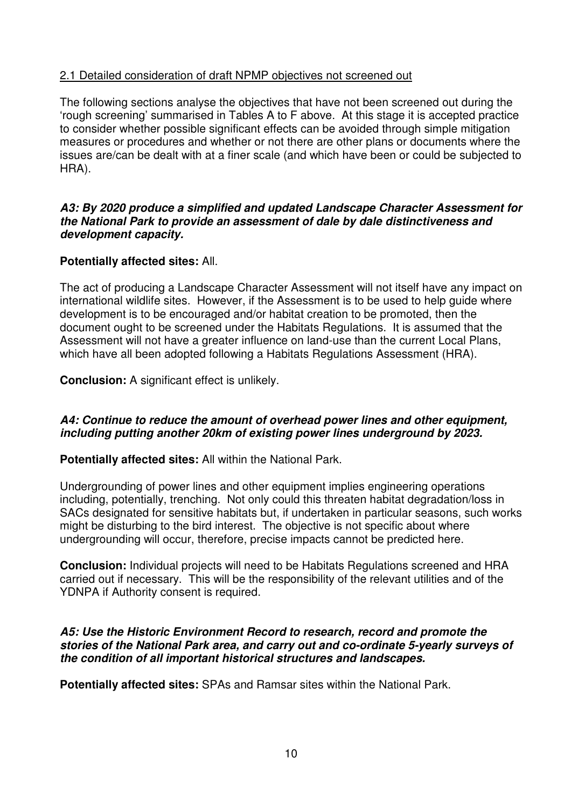# 2.1 Detailed consideration of draft NPMP objectives not screened out

The following sections analyse the objectives that have not been screened out during the 'rough screening' summarised in Tables A to F above. At this stage it is accepted practice to consider whether possible significant effects can be avoided through simple mitigation measures or procedures and whether or not there are other plans or documents where the issues are/can be dealt with at a finer scale (and which have been or could be subjected to HRA).

#### *A3: By 2020 produce a simplified and updated Landscape Character Assessment for the National Park to provide an assessment of dale by dale distinctiveness and development capacity.*

# **Potentially affected sites:** All.

The act of producing a Landscape Character Assessment will not itself have any impact on international wildlife sites. However, if the Assessment is to be used to help guide where development is to be encouraged and/or habitat creation to be promoted, then the document ought to be screened under the Habitats Regulations. It is assumed that the Assessment will not have a greater influence on land-use than the current Local Plans, which have all been adopted following a Habitats Regulations Assessment (HRA).

**Conclusion:** A significant effect is unlikely.

# *A4: Continue to reduce the amount of overhead power lines and other equipment, including putting another 20km of existing power lines underground by 2023.*

**Potentially affected sites:** All within the National Park.

Undergrounding of power lines and other equipment implies engineering operations including, potentially, trenching. Not only could this threaten habitat degradation/loss in SACs designated for sensitive habitats but, if undertaken in particular seasons, such works might be disturbing to the bird interest. The objective is not specific about where undergrounding will occur, therefore, precise impacts cannot be predicted here.

**Conclusion:** Individual projects will need to be Habitats Regulations screened and HRA carried out if necessary. This will be the responsibility of the relevant utilities and of the YDNPA if Authority consent is required.

# *A5: Use the Historic Environment Record to research, record and promote the stories of the National Park area, and carry out and co-ordinate 5-yearly surveys of the condition of all important historical structures and landscapes.*

**Potentially affected sites:** SPAs and Ramsar sites within the National Park.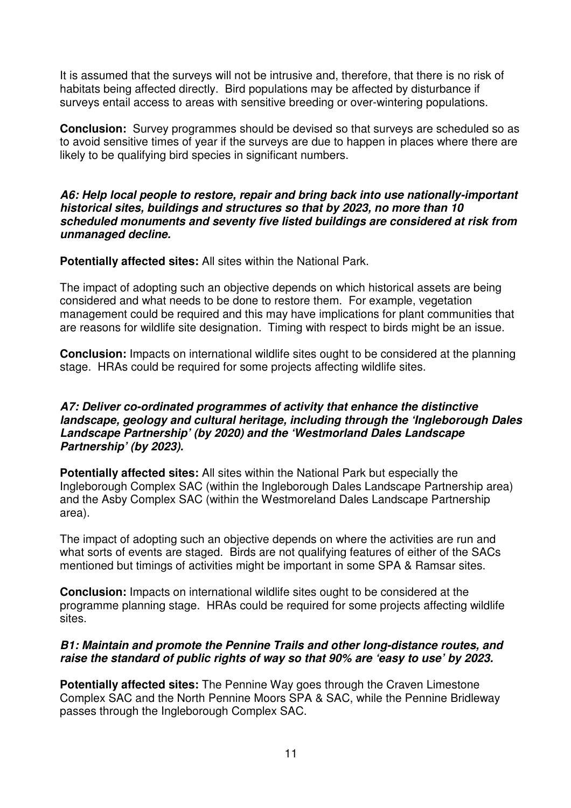It is assumed that the surveys will not be intrusive and, therefore, that there is no risk of habitats being affected directly. Bird populations may be affected by disturbance if surveys entail access to areas with sensitive breeding or over-wintering populations.

**Conclusion:** Survey programmes should be devised so that surveys are scheduled so as to avoid sensitive times of year if the surveys are due to happen in places where there are likely to be qualifying bird species in significant numbers.

*A6: Help local people to restore, repair and bring back into use nationally-important historical sites, buildings and structures so that by 2023, no more than 10 scheduled monuments and seventy five listed buildings are considered at risk from unmanaged decline.* 

**Potentially affected sites:** All sites within the National Park.

The impact of adopting such an objective depends on which historical assets are being considered and what needs to be done to restore them. For example, vegetation management could be required and this may have implications for plant communities that are reasons for wildlife site designation. Timing with respect to birds might be an issue.

**Conclusion:** Impacts on international wildlife sites ought to be considered at the planning stage. HRAs could be required for some projects affecting wildlife sites.

### *A7: Deliver co-ordinated programmes of activity that enhance the distinctive landscape, geology and cultural heritage, including through the 'Ingleborough Dales Landscape Partnership' (by 2020) and the 'Westmorland Dales Landscape Partnership' (by 2023).*

**Potentially affected sites:** All sites within the National Park but especially the Ingleborough Complex SAC (within the Ingleborough Dales Landscape Partnership area) and the Asby Complex SAC (within the Westmoreland Dales Landscape Partnership area).

The impact of adopting such an objective depends on where the activities are run and what sorts of events are staged. Birds are not qualifying features of either of the SACs mentioned but timings of activities might be important in some SPA & Ramsar sites.

**Conclusion:** Impacts on international wildlife sites ought to be considered at the programme planning stage. HRAs could be required for some projects affecting wildlife sites.

# *B1: Maintain and promote the Pennine Trails and other long-distance routes, and raise the standard of public rights of way so that 90% are 'easy to use' by 2023.*

**Potentially affected sites:** The Pennine Way goes through the Craven Limestone Complex SAC and the North Pennine Moors SPA & SAC, while the Pennine Bridleway passes through the Ingleborough Complex SAC.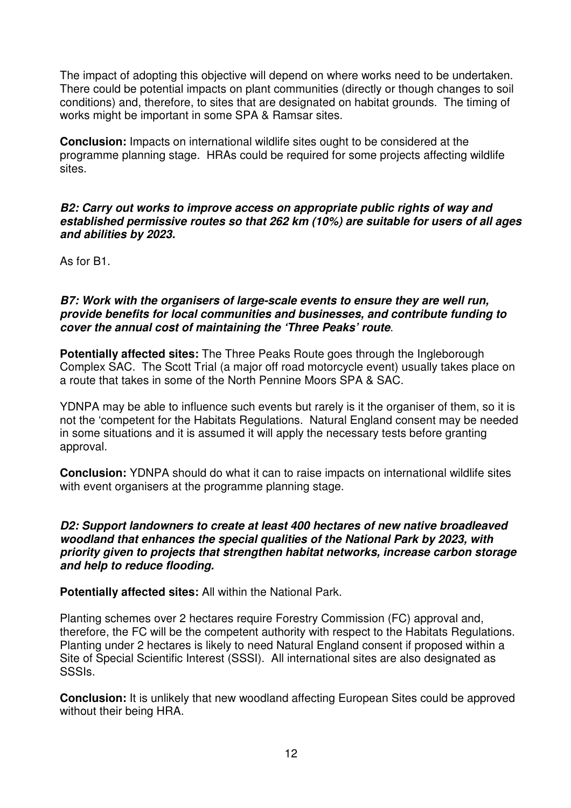The impact of adopting this objective will depend on where works need to be undertaken. There could be potential impacts on plant communities (directly or though changes to soil conditions) and, therefore, to sites that are designated on habitat grounds. The timing of works might be important in some SPA & Ramsar sites.

**Conclusion:** Impacts on international wildlife sites ought to be considered at the programme planning stage. HRAs could be required for some projects affecting wildlife sites.

#### *B2: Carry out works to improve access on appropriate public rights of way and established permissive routes so that 262 km (10%) are suitable for users of all ages and abilities by 2023.*

As for B1.

#### *B7: Work with the organisers of large-scale events to ensure they are well run, provide benefits for local communities and businesses, and contribute funding to cover the annual cost of maintaining the 'Three Peaks' route*.

**Potentially affected sites:** The Three Peaks Route goes through the Ingleborough Complex SAC. The Scott Trial (a major off road motorcycle event) usually takes place on a route that takes in some of the North Pennine Moors SPA & SAC.

YDNPA may be able to influence such events but rarely is it the organiser of them, so it is not the 'competent for the Habitats Regulations. Natural England consent may be needed in some situations and it is assumed it will apply the necessary tests before granting approval.

**Conclusion:** YDNPA should do what it can to raise impacts on international wildlife sites with event organisers at the programme planning stage.

#### *D2: Support landowners to create at least 400 hectares of new native broadleaved woodland that enhances the special qualities of the National Park by 2023, with priority given to projects that strengthen habitat networks, increase carbon storage and help to reduce flooding.*

**Potentially affected sites:** All within the National Park.

Planting schemes over 2 hectares require Forestry Commission (FC) approval and, therefore, the FC will be the competent authority with respect to the Habitats Regulations. Planting under 2 hectares is likely to need Natural England consent if proposed within a Site of Special Scientific Interest (SSSI). All international sites are also designated as SSSIs.

**Conclusion:** It is unlikely that new woodland affecting European Sites could be approved without their being HRA.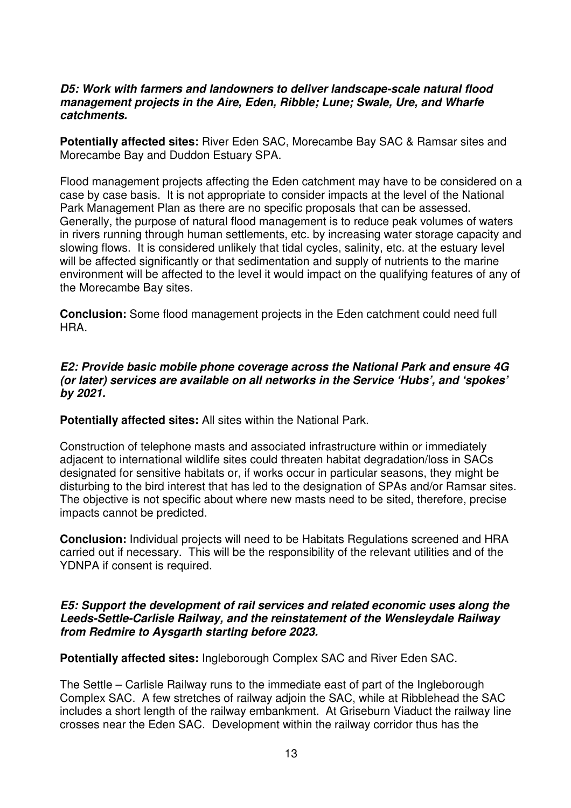#### *D5: Work with farmers and landowners to deliver landscape-scale natural flood management projects in the Aire, Eden, Ribble; Lune; Swale, Ure, and Wharfe catchments.*

**Potentially affected sites:** River Eden SAC, Morecambe Bay SAC & Ramsar sites and Morecambe Bay and Duddon Estuary SPA.

Flood management projects affecting the Eden catchment may have to be considered on a case by case basis. It is not appropriate to consider impacts at the level of the National Park Management Plan as there are no specific proposals that can be assessed. Generally, the purpose of natural flood management is to reduce peak volumes of waters in rivers running through human settlements, etc. by increasing water storage capacity and slowing flows. It is considered unlikely that tidal cycles, salinity, etc. at the estuary level will be affected significantly or that sedimentation and supply of nutrients to the marine environment will be affected to the level it would impact on the qualifying features of any of the Morecambe Bay sites.

**Conclusion:** Some flood management projects in the Eden catchment could need full **HRA** 

#### *E2: Provide basic mobile phone coverage across the National Park and ensure 4G (or later) services are available on all networks in the Service 'Hubs', and 'spokes' by 2021.*

**Potentially affected sites:** All sites within the National Park.

Construction of telephone masts and associated infrastructure within or immediately adjacent to international wildlife sites could threaten habitat degradation/loss in SACs designated for sensitive habitats or, if works occur in particular seasons, they might be disturbing to the bird interest that has led to the designation of SPAs and/or Ramsar sites. The objective is not specific about where new masts need to be sited, therefore, precise impacts cannot be predicted.

**Conclusion:** Individual projects will need to be Habitats Regulations screened and HRA carried out if necessary. This will be the responsibility of the relevant utilities and of the YDNPA if consent is required.

#### *E5: Support the development of rail services and related economic uses along the Leeds-Settle-Carlisle Railway, and the reinstatement of the Wensleydale Railway from Redmire to Aysgarth starting before 2023.*

**Potentially affected sites:** Ingleborough Complex SAC and River Eden SAC.

The Settle – Carlisle Railway runs to the immediate east of part of the Ingleborough Complex SAC. A few stretches of railway adjoin the SAC, while at Ribblehead the SAC includes a short length of the railway embankment. At Griseburn Viaduct the railway line crosses near the Eden SAC. Development within the railway corridor thus has the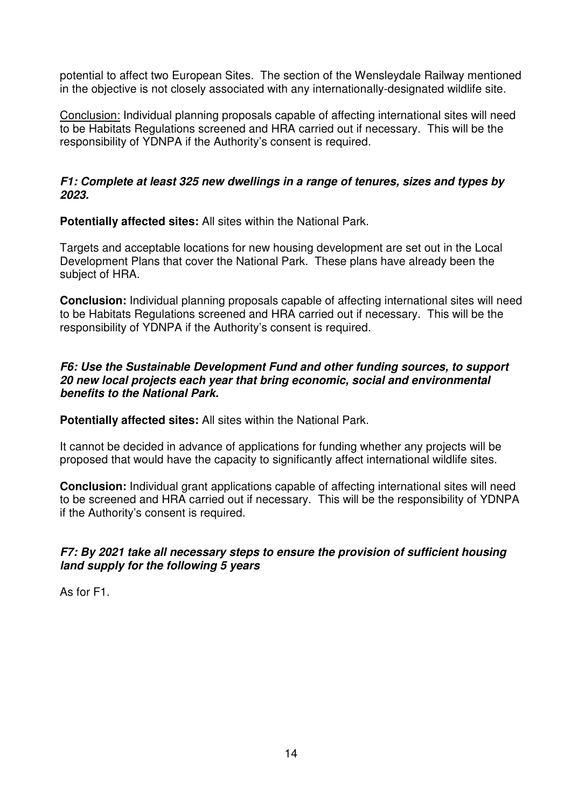potential to affect two European Sites. The section of the Wensleydale Railway mentioned in the objective is not closely associated with any internationally-designated wildlife site.

Conclusion: Individual planning proposals capable of affecting international sites will need to be Habitats Regulations screened and HRA carried out if necessary. This will be the responsibility of YDNPA if the Authority's consent is required.

# *F1: Complete at least 325 new dwellings in a range of tenures, sizes and types by 2023.*

**Potentially affected sites:** All sites within the National Park.

Targets and acceptable locations for new housing development are set out in the Local Development Plans that cover the National Park. These plans have already been the subject of HRA.

**Conclusion:** Individual planning proposals capable of affecting international sites will need to be Habitats Regulations screened and HRA carried out if necessary. This will be the responsibility of YDNPA if the Authority's consent is required.

#### *F6: Use the Sustainable Development Fund and other funding sources, to support 20 new local projects each year that bring economic, social and environmental benefits to the National Park.*

**Potentially affected sites:** All sites within the National Park.

It cannot be decided in advance of applications for funding whether any projects will be proposed that would have the capacity to significantly affect international wildlife sites.

**Conclusion:** Individual grant applications capable of affecting international sites will need to be screened and HRA carried out if necessary. This will be the responsibility of YDNPA if the Authority's consent is required.

# *F7: By 2021 take all necessary steps to ensure the provision of sufficient housing land supply for the following 5 years*

As for F1.